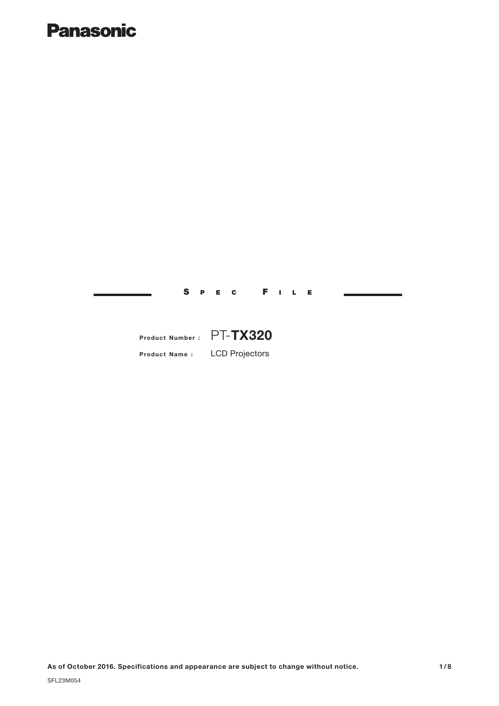## **Panasonic**

S PEC F ILE

### **Product Name :** LCD Projectors **Product Number :** PT-**TX320**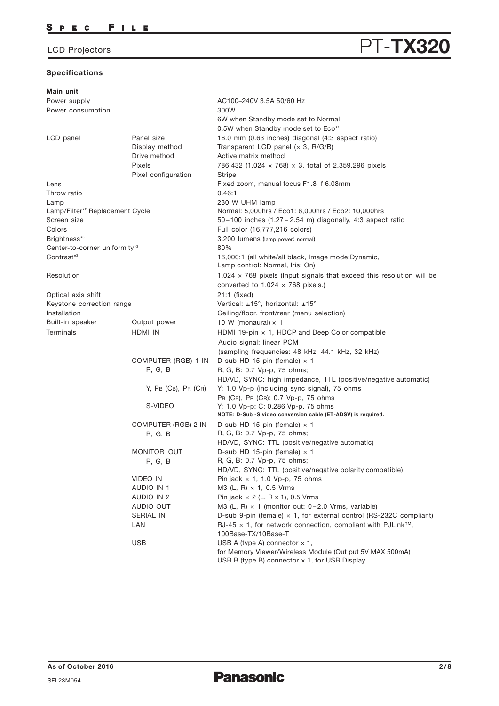# LCD Projectors **PT-TX320**

### **Specifications**

| Main unit                                   |                        |                                                                                 |
|---------------------------------------------|------------------------|---------------------------------------------------------------------------------|
| Power supply                                |                        | AC100-240V 3.5A 50/60 Hz                                                        |
| Power consumption                           |                        | 300W                                                                            |
|                                             |                        | 6W when Standby mode set to Normal,                                             |
|                                             |                        | 0.5W when Standby mode set to Eco*1                                             |
| LCD panel                                   | Panel size             | 16.0 mm (0.63 inches) diagonal (4:3 aspect ratio)                               |
|                                             | Display method         | Transparent LCD panel $(x 3, R/G/B)$                                            |
|                                             | Drive method           | Active matrix method                                                            |
|                                             | Pixels                 | 786,432 (1,024 $\times$ 768) $\times$ 3, total of 2,359,296 pixels              |
|                                             | Pixel configuration    | Stripe                                                                          |
| Lens                                        |                        | Fixed zoom, manual focus F1.8 f 6.08mm                                          |
| Throw ratio                                 |                        | 0.46:1                                                                          |
| Lamp                                        |                        | 230 W UHM lamp                                                                  |
| Lamp/Filter* <sup>2</sup> Replacement Cycle |                        | Normal: 5,000hrs / Eco1: 6,000hrs / Eco2: 10,000hrs                             |
| Screen size                                 |                        | $50-100$ inches $(1.27-2.54 \text{ m})$ diagonally, 4:3 aspect ratio            |
| Colors                                      |                        | Full color (16,777,216 colors)                                                  |
| Brightness*3                                |                        | 3,200 lumens (lamp power: normal)                                               |
| Center-to-corner uniformity*3               |                        | 80%                                                                             |
| Contrast* <sup>3</sup>                      |                        | 16,000:1 (all white/all black, Image mode:Dynamic,                              |
|                                             |                        | Lamp control: Normal, Iris: On)                                                 |
| Resolution                                  |                        | 1,024 $\times$ 768 pixels (Input signals that exceed this resolution will be    |
|                                             |                        | converted to $1,024 \times 768$ pixels.)                                        |
| Optical axis shift                          |                        | 21:1 (fixed)                                                                    |
| Keystone correction range                   |                        | Vertical: $\pm 15^\circ$ , horizontal: $\pm 15^\circ$                           |
| Installation                                |                        | Ceiling/floor, front/rear (menu selection)                                      |
| Built-in speaker                            | Output power           | 10 W (monaural) $\times$ 1                                                      |
| Terminals                                   | HDMI IN                | HDMI 19-pin $\times$ 1, HDCP and Deep Color compatible                          |
|                                             |                        | Audio signal: linear PCM                                                        |
|                                             |                        | (sampling frequencies: 48 kHz, 44.1 kHz, 32 kHz)                                |
|                                             | COMPUTER (RGB) 1 IN    | D-sub HD 15-pin (female) $\times$ 1                                             |
|                                             | R, G, B                | R, G, B: 0.7 Vp-p, 75 ohms;                                                     |
|                                             |                        | HD/VD, SYNC: high impedance, TTL (positive/negative automatic)                  |
|                                             | $Y$ , PB (CB), PR (CR) | Y: 1.0 Vp-p (including sync signal), 75 ohms                                    |
|                                             |                        | PB (CB), PR (CR): 0.7 Vp-p, 75 ohms                                             |
|                                             | S-VIDEO                | Y: 1.0 Vp-p; C: 0.286 Vp-p, 75 ohms                                             |
|                                             |                        | NOTE: D-Sub -S video conversion cable (ET-ADSV) is required.                    |
|                                             | COMPUTER (RGB) 2 IN    | D-sub HD 15-pin (female) $\times$ 1                                             |
|                                             | R, G, B                | R, G, B: 0.7 Vp-p, 75 ohms;                                                     |
|                                             |                        | HD/VD, SYNC: TTL (positive/negative automatic)                                  |
|                                             | MONITOR OUT            | D-sub HD 15-pin (female) $\times$ 1                                             |
|                                             | R, G, B                | R, G, B: 0.7 Vp-p, 75 ohms;                                                     |
|                                             |                        | HD/VD, SYNC: TTL (positive/negative polarity compatible)                        |
|                                             | VIDEO IN               | Pin jack $\times$ 1, 1.0 Vp-p, 75 ohms                                          |
|                                             | AUDIO IN 1             | M3 (L, R) $\times$ 1, 0.5 Vrms                                                  |
|                                             | AUDIO IN 2             | Pin jack $\times$ 2 (L, R $\times$ 1), 0.5 Vrms                                 |
|                                             | AUDIO OUT              | M3 (L, R) $\times$ 1 (monitor out: 0-2.0 Vrms, variable)                        |
|                                             | SERIAL IN              | D-sub 9-pin (female) $\times$ 1, for external control (RS-232C compliant)       |
|                                             | LAN                    | RJ-45 $\times$ 1, for network connection, compliant with PJLink <sup>TM</sup> , |
|                                             |                        | 100Base-TX/10Base-T                                                             |
|                                             | <b>USB</b>             | USB A (type A) connector $\times$ 1,                                            |
|                                             |                        | for Memory Viewer/Wireless Module (Out put 5V MAX 500mA)                        |
|                                             |                        | USB B (type B) connector $\times$ 1, for USB Display                            |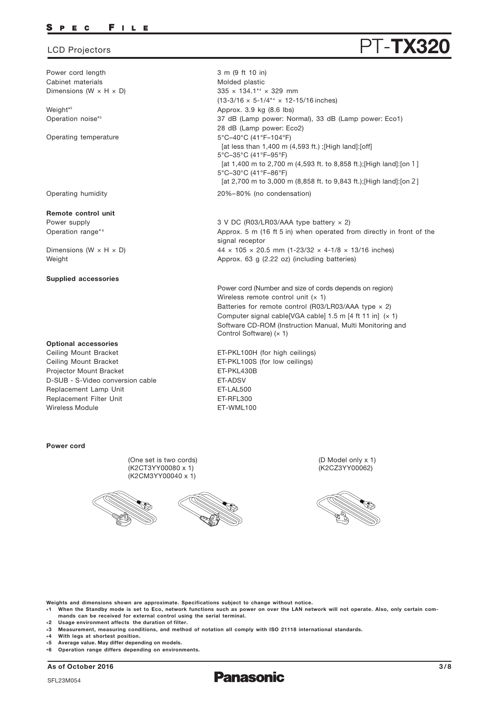Power cord length Cabinet materials Dimensions (W  $\times$  H  $\times$  D)

Weight\* 5 Operation noise\*3

Operating temperature

Operating humidity

**Remote control unit**

Power supply Operation range\*6

Dimensions (W  $\times$  H  $\times$  D) Weight

### **Supplied accessories**

#### **Optional accessories**

Replacement Lamp Unit Replacement Filter Unit Ceiling Mount Bracket Ceiling Mount Bracket Projector Mount Bracket Wireless Module D-SUB - S-Video conversion cable

### **Power cord**

(One set is two cords) (K2CT3YY00080 x 1) (K2CM3YY00040 x 1)





(D Model only x 1) (K2CZ3YY00062)



**Weights and dimensions shown are approximate. Specifications subject to change without notice.**

**\*1 When the Standby mode is set to Eco, network functions such as power on over the LAN network will not operate. Also, only certain commands can be received for external control using the serial terminal.**

3 m (9 ft 10 in) Molded plastic

335 × 134.1\*4 × 329 mm

Approx. 3.9 kg (8.6 lbs)

5°C–35°C (41°F–95°F)

5°C–30°C (41°F–86°F)

28 dB (Lamp power: Eco2) 5°C–40°C (41°F–104°F)

20%–80% (no condensation)

signal receptor

3 V DC (R03/LR03/AAA type battery × 2)

Approx. 63 g (2.22 oz) (including batteries)

Wireless remote control unit  $(x 1)$ 

ET-PKL100H (for high ceilings) ET-PKL100S (for low ceilings)

Control Software) (× 1)

ET-LAL500 ET-RFL300 ET-WML100

ET-PKL430B ET-ADSV

Approx. 5 m (16 ft 5 in) when operated from directly in front of the

44  $\times$  105  $\times$  20.5 mm (1-23/32  $\times$  4-1/8  $\times$  13/16 inches)

37 dB (Lamp power: Normal), 33 dB (Lamp power: Eco1)

[at 1,400 m to 2,700 m (4,593 ft. to 8,858 ft.);[High land]:[on1]

[at 2,700 m to 3,000 m (8,858 ft. to 9,843 ft.);[High land]:[on2]

[at less than 1,400 m (4,593 ft.) ;[High land]:[off]

Power cord (Number and size of cords depends on region)

Batteries for remote control (R03/LR03/AAA type  $\times$  2) Computer signal cable[VGA cable]  $1.5$  m [4 ft 11 in]  $(x 1)$ Software CD-ROM (Instruction Manual, Multi Monitoring and

 $(13-3/16 \times 5-1/4^{*4} \times 12-15/16$  inches)

- **\*2 Usage environment affects the duration of filter.**
- **\*3 Measurement, measuring conditions, and method of notation all comply with ISO 21118 international standards.**
- **\* 4 With legs at shortest position.**
- **\* 5 Average value. May differ depending on models.**
- **\* 6 Operation range differs depending on environments.**

**As of October 2016 3/8**

**Panasonic** 

## LCD Projectors **PT-TX3**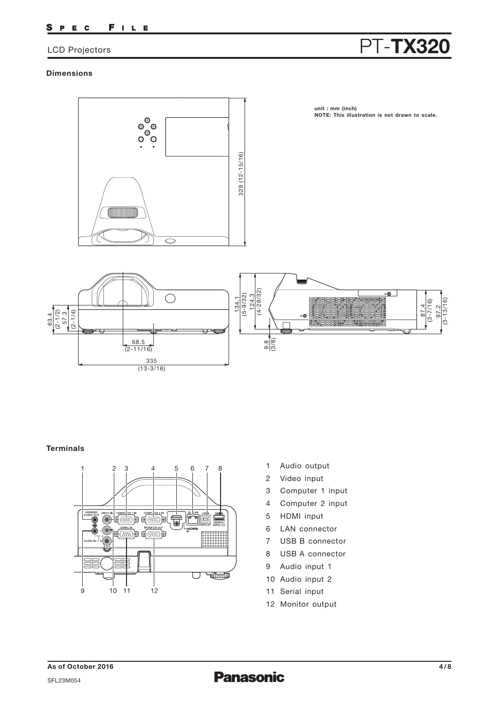#### FILE S P E C

## LCD Projectors **PT-TX320**

### **Dimensions**



### **Terminals**



- 1 Audio output
- 2 Video input
- 3 Computer 1 input
- 4 Computer 2 input
- 5 HDMI input
- 6 LAN connector
- 7 USB B connector
- 8 USB A connector
- 9 Audio input 1
- 10 Audio input 2
- 11 Serial input
- 12 Monitor output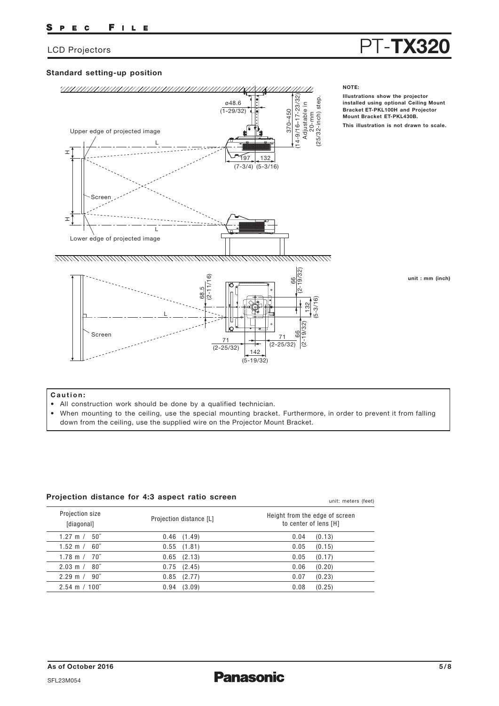# LCD Projectors **PT-TX32**

### **Standard setting-up position**



#### **Caution:**

- All construction work should be done by a qualified technician.
- When mounting to the ceiling, use the special mounting bracket. Furthermore, in order to prevent it from falling down from the ceiling, use the supplied wire on the Projector Mount Bracket.

unit: meters (feet)

### **Projection distance for 4:3 aspect ratio screen**

| Projection size<br>[diagonal] | Projection distance [L] | Height from the edge of screen<br>to center of lens [H] |  |  |  |
|-------------------------------|-------------------------|---------------------------------------------------------|--|--|--|
| $1.27 \text{ m} / 50$ "       | $0.46$ $(1.49)$         | 0.04<br>(0.13)                                          |  |  |  |
| $1.52 \text{ m} / 60$ "       | $0.55$ $(1.81)$         | 0.05<br>(0.15)                                          |  |  |  |
| $1.78 \text{ m} / 70^{6}$     | $0.65$ $(2.13)$         | (0.17)<br>0.05                                          |  |  |  |
| $2.03 \text{ m} / 80$ "       | $0.75$ $(2.45)$         | 0.06<br>(0.20)                                          |  |  |  |
| $2.29 \text{ m} / 90$ "       | 0.85<br>(2.77)          | 0.07<br>(0.23)                                          |  |  |  |
| $2.54 \text{ m} / 100$ "      | (3.09)<br>0.94          | (0.25)<br>0.08                                          |  |  |  |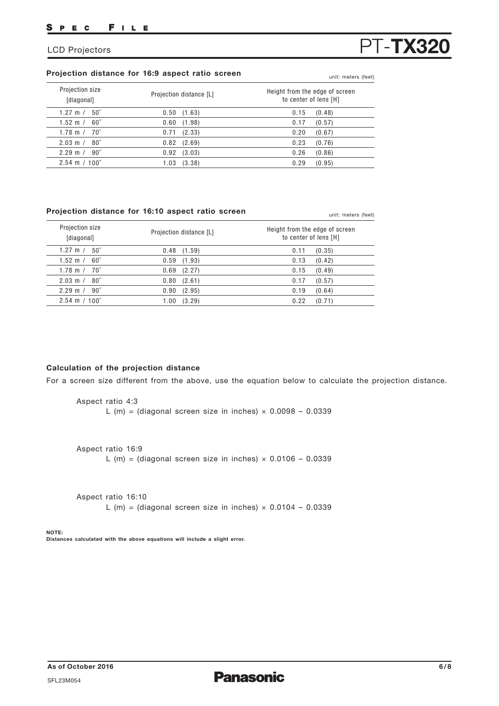### **Projection distance for 16:9 aspect ratio screen** unit: meters (feet)

| Projection size<br>[diagonal]   | Projection distance [L] | Height from the edge of screen<br>to center of lens [H] |
|---------------------------------|-------------------------|---------------------------------------------------------|
| $50^{\circ}$<br>1.27 m $/$      | (1.63)<br>0.50          | 0.15<br>(0.48)                                          |
| 1.52 m $/$<br>60"               | (1.98)<br>0.60          | 0.17<br>(0.57)                                          |
| $1.78 \text{ m} / 70^{7}$       | (2.33)<br>0.71          | 0.20<br>(0.67)                                          |
| $2.03 \text{ m} / 80$ "         | 0.82<br>(2.69)          | 0.23<br>(0.76)                                          |
| $2.29 \text{ m}$ /<br>$90^{''}$ | (3.03)<br>0.92          | 0.26<br>(0.86)                                          |
| $2.54 \text{ m} / 100$ "        | (3.38)<br>1.03          | 0.29<br>(0.95)                                          |

### **Projection distance for 16:10 aspect ratio screen** unit: meters (feet)

| Projection size<br>[diagonal] | Projection distance [L] | Height from the edge of screen<br>to center of lens [H] |
|-------------------------------|-------------------------|---------------------------------------------------------|
| $50^{\circ}$                  | 0.48                    | (0.35)                                                  |
| 1.27 m $/$                    | (1.59)                  | 0.11                                                    |
| $60^{\circ}$                  | 0.59                    | 0.13                                                    |
| 1.52 m $/$                    | (1.93)                  | (0.42)                                                  |
| 70''                          | (2.27)                  | (0.49)                                                  |
| 1.78 m $/$                    | 0.69                    | 0.15                                                    |
| $80^{\circ}$                  | (2.61)                  | 0.17                                                    |
| $2.03 \text{ m}$ /            | 0.80                    | (0.57)                                                  |
| $90^{\circ}$                  | (2.95)                  | 0.19                                                    |
| $2.29$ m /                    | 0.90                    | (0.64)                                                  |
| $2.54 \text{ m} / 100$ "      | (3.29)<br>1.00          | 0.22<br>(0.71)                                          |

### **Calculation of the projection distance**

For a screen size different from the above, use the equation below to calculate the projection distance.

Aspect ratio 4:3 L (m) = (diagonal screen size in inches)  $\times$  0.0098 - 0.0339

Aspect ratio 16:9

L (m) = (diagonal screen size in inches)  $\times$  0.0106 - 0.0339

Aspect ratio 16:10 L (m) = (diagonal screen size in inches)  $\times$  0.0104 - 0.0339

#### **NOTE: Distances calculated with the above equations will include a slight error.**

# LCD Projectors **PT-TX3**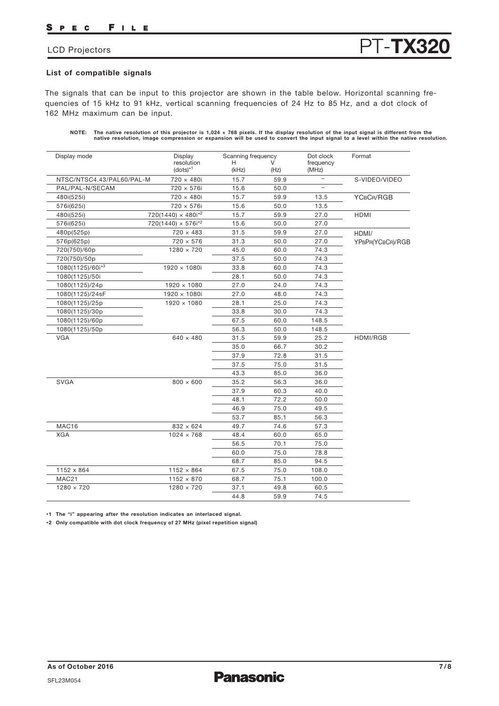#### FILE P E C

## LCD Projectors **PT-TX32**

### **List of compatible signals**

The signals that can be input to this projector are shown in the table below. Horizontal scanning frequencies of 15 kHz to 91 kHz, vertical scanning frequencies of 24 Hz to 85 Hz, and a dot clock of 162 MHz maximum can be input.

**NOTE: The native resolution of this projector is 1,024 × 768 pixels. If the display resolution of the input signal is different from the native resolution, image compression or expansion will be used to convert the input signal to a level within the native resolution.**

| Display mode              | Display<br>resolution        | Scanning frequency<br>н |      | Dot clock<br>frequency   | Format           |
|---------------------------|------------------------------|-------------------------|------|--------------------------|------------------|
|                           | $(dots)^{*1}$                | (kHz)                   | (Hz) | (MHz)                    |                  |
| NTSC/NTSC4.43/PAL60/PAL-M | 720 × 480i                   | 15.7                    | 59.9 | $\qquad \qquad -$        | S-VIDEO/VIDEO    |
| PAL/PAL-N/SECAM           | 720 × 576i                   | 15.6                    | 50.0 | $\overline{\phantom{0}}$ |                  |
| 480i(525i)                | 720 × 480i                   | 15.7                    | 59.9 | 13.5                     | YCBCR/RGB        |
| 576i(625i)                | 720 × 576i                   | 15.6                    | 50.0 | 13.5                     |                  |
| 480i(525i)                | $720(1440) \times 480i^{2}$  | 15.7                    | 59.9 | 27.0                     | <b>HDMI</b>      |
| 576i(625i)                | $720(1440) \times 576i^{*2}$ | 15.6                    | 50.0 | 27.0                     |                  |
| 480p(525p)                | $720 \times 483$             | 31.5                    | 59.9 | 27.0                     | HDMI/            |
| 576p(625p)                | $720 \times 576$             | 31.3                    | 50.0 | 27.0                     | YPBPR(YCBCR)/RGB |
| 720(750)/60p              | $1280 \times 720$            | 45.0                    | 60.0 | 74.3                     |                  |
| 720(750)/50p              |                              | 37.5                    | 50.0 | 74.3                     |                  |
| 1080(1125)/60i*3          | $1920 \times 1080i$          | 33.8                    | 60.0 | 74.3                     |                  |
| 1080(1125)/50i            |                              | 28.1                    | 50.0 | 74.3                     |                  |
| 1080(1125)/24p            | $1920 \times 1080$           | 27.0                    | 24.0 | 74.3                     |                  |
| 1080(1125)/24sF           | 1920 × 1080i                 | 27.0                    | 48.0 | 74.3                     |                  |
| 1080(1125)/25p            | $1920 \times 1080$           | 28.1                    | 25.0 | 74.3                     |                  |
| 1080(1125)/30p            |                              | 33.8                    | 30.0 | 74.3                     |                  |
| 1080(1125)/60p            |                              | 67.5                    | 60.0 | 148.5                    |                  |
| 1080(1125)/50p            |                              | 56.3                    | 50.0 | 148.5                    |                  |
| <b>VGA</b>                | $640 \times 480$             | 31.5                    | 59.9 | 25.2                     | HDMI/RGB         |
|                           |                              | 35.0                    | 66.7 | 30.2                     |                  |
|                           |                              | 37.9                    | 72.8 | 31.5                     |                  |
|                           |                              | 37.5                    | 75.0 | 31.5                     |                  |
|                           |                              | 43.3                    | 85.0 | 36.0                     |                  |
| <b>SVGA</b>               | $800 \times 600$             | 35.2                    | 56.3 | 36.0                     |                  |
|                           |                              | 37.9                    | 60.3 | 40.0                     |                  |
|                           |                              | 48.1                    | 72.2 | 50.0                     |                  |
|                           |                              | 46.9                    | 75.0 | 49.5                     |                  |
|                           |                              | 53.7                    | 85.1 | 56.3                     |                  |
| MAC16                     | $832 \times 624$             | 49.7                    | 74.6 | 57.3                     |                  |
| <b>XGA</b>                | $1024 \times 768$            | 48.4                    | 60.0 | 65.0                     |                  |
|                           |                              | 56.5                    | 70.1 | 75.0                     |                  |
|                           |                              | 60.0                    | 75.0 | 78.8                     |                  |
|                           |                              | 68.7                    | 85.0 | 94.5                     |                  |
| 1152 x 864                | $1152 \times 864$            | 67.5                    | 75.0 | 108.0                    |                  |
| MAC21                     | $1152 \times 870$            | 68.7                    | 75.1 | 100.0                    |                  |
| $1280 \times 720$         | $1280 \times 720$            | 37.1                    | 49.8 | 60.5                     |                  |
|                           |                              | 44.8                    | 59.9 | 74.5                     |                  |

**\*1 The "i" appearing after the resolution indicates an interlaced signal.**

**\*2 Only compatible with dot clock frequency of 27 MHz (pixel repetition signal)**